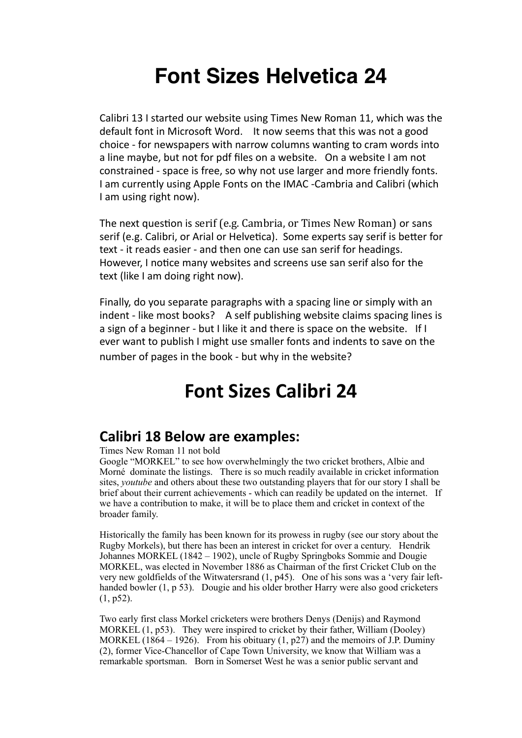# **Font Sizes Helvetica 24**

Calibri 13 I started our website using Times New Roman 11, which was the default font in Microsoft Word. It now seems that this was not a good choice - for newspapers with narrow columns wanting to cram words into a line maybe, but not for pdf files on a website. On a website I am not constrained - space is free, so why not use larger and more friendly fonts. I am currently using Apple Fonts on the IMAC -Cambria and Calibri (which I am using right now).

The next question is serif (e.g. Cambria, or Times New Roman) or sans serif (e.g. Calibri, or Arial or Helvetica). Some experts say serif is better for text - it reads easier - and then one can use san serif for headings. However, I notice many websites and screens use san serif also for the text (like I am doing right now).

Finally, do you separate paragraphs with a spacing line or simply with an indent - like most books? A self publishing website claims spacing lines is a sign of a beginner - but I like it and there is space on the website. If I ever want to publish I might use smaller fonts and indents to save on the number of pages in the book - but why in the website?

## **Font Sizes Calibri 24**

## **Calibri 18 Below are examples:**

Times New Roman 11 not bold

Google "MORKEL" to see how overwhelmingly the two cricket brothers, Albie and Morné dominate the listings. There is so much readily available in cricket information sites, *youtube* and others about these two outstanding players that for our story I shall be brief about their current achievements - which can readily be updated on the internet. If we have a contribution to make, it will be to place them and cricket in context of the broader family.

Historically the family has been known for its prowess in rugby (see our story about the Rugby Morkels), but there has been an interest in cricket for over a century. Hendrik Johannes MORKEL (1842 – 1902), uncle of Rugby Springboks Sommie and Dougie MORKEL, was elected in November 1886 as Chairman of the first Cricket Club on the very new goldfields of the Witwatersrand (1, p45). One of his sons was a 'very fair lefthanded bowler (1, p 53). Dougie and his older brother Harry were also good cricketers (1, p52).

Two early first class Morkel cricketers were brothers Denys (Denijs) and Raymond MORKEL (1, p53). They were inspired to cricket by their father, William (Dooley) MORKEL  $(1864 - 1926)$ . From his obituary  $(1, p27)$  and the memoirs of J.P. Duminy (2), former Vice-Chancellor of Cape Town University, we know that William was a remarkable sportsman. Born in Somerset West he was a senior public servant and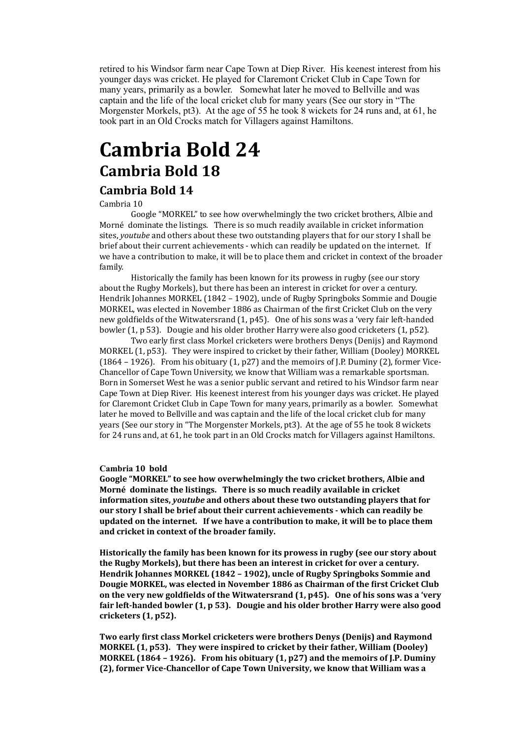retired to his Windsor farm near Cape Town at Diep River. His keenest interest from his younger days was cricket. He played for Claremont Cricket Club in Cape Town for many years, primarily as a bowler. Somewhat later he moved to Bellville and was captain and the life of the local cricket club for many years (See our story in "The Morgenster Morkels, pt3). At the age of 55 he took 8 wickets for 24 runs and, at 61, he took part in an Old Crocks match for Villagers against Hamiltons.

## **Cambria Bold 24 Cambria Bold 18**

## **Cambria Bold 14**

#### Cambria 10

Google "MORKEL" to see how overwhelmingly the two cricket brothers, Albie and Morné dominate the listings. There is so much readily available in cricket information sites, *youtube* and others about these two outstanding players that for our story I shall be brief about their current achievements - which can readily be updated on the internet. If we have a contribution to make, it will be to place them and cricket in context of the broader family.

Historically the family has been known for its prowess in rugby (see our story about the Rugby Morkels), but there has been an interest in cricket for over a century. Hendrik Johannes MORKEL (1842 - 1902), uncle of Rugby Springboks Sommie and Dougie MORKEL, was elected in November 1886 as Chairman of the first Cricket Club on the very new goldfields of the Witwatersrand  $(1, p45)$ . One of his sons was a 'very fair left-handed bowler  $(1, p 53)$ . Dougie and his older brother Harry were also good cricketers  $(1, p52)$ .

Two early first class Morkel cricketers were brothers Denys (Denijs) and Raymond MORKEL  $(1, p53)$ . They were inspired to cricket by their father, William (Dooley) MORKEL (1864 – 1926). From his obituary  $(1, p27)$  and the memoirs of J.P. Duminy  $(2)$ , former Vice-Chancellor of Cape Town University, we know that William was a remarkable sportsman. Born in Somerset West he was a senior public servant and retired to his Windsor farm near Cape Town at Diep River. His keenest interest from his younger days was cricket. He played for Claremont Cricket Club in Cape Town for many years, primarily as a bowler. Somewhat later he moved to Bellville and was captain and the life of the local cricket club for many years (See our story in "The Morgenster Morkels, pt3). At the age of 55 he took 8 wickets for 24 runs and, at 61, he took part in an Old Crocks match for Villagers against Hamiltons.

#### Cambria 10 bold

Google "MORKEL" to see how overwhelmingly the two cricket brothers, Albie and Morné dominate the listings. There is so much readily available in cricket information sites, *youtube* and others about these two outstanding players that for our story I shall be brief about their current achievements - which can readily be **updated on the internet.** If we have a contribution to make, it will be to place them and cricket in context of the broader family.

**Historically the family has been known for its prowess in rugby (see our story about** the Rugby Morkels), but there has been an interest in cricket for over a century. Hendrik Johannes MORKEL (1842 - 1902), uncle of Rugby Springboks Sommie and Dougie MORKEL, was elected in November 1886 as Chairman of the first Cricket Club on the very new goldfields of the Witwatersrand  $(1, p45)$ . One of his sons was a 'very fair left-handed bowler (1, p 53). Dougie and his older brother Harry were also good **cricketers (1, p52).** 

Two early first class Morkel cricketers were brothers Denys (Denijs) and Raymond **MORKEL (1, p53).** They were inspired to cricket by their father, William (Dooley) **MORKEL** (1864 – 1926). From his obituary  $(1, p27)$  and the memoirs of J.P. Duminy **(2), former Vice-Chancellor of Cape Town University, we know that William was a**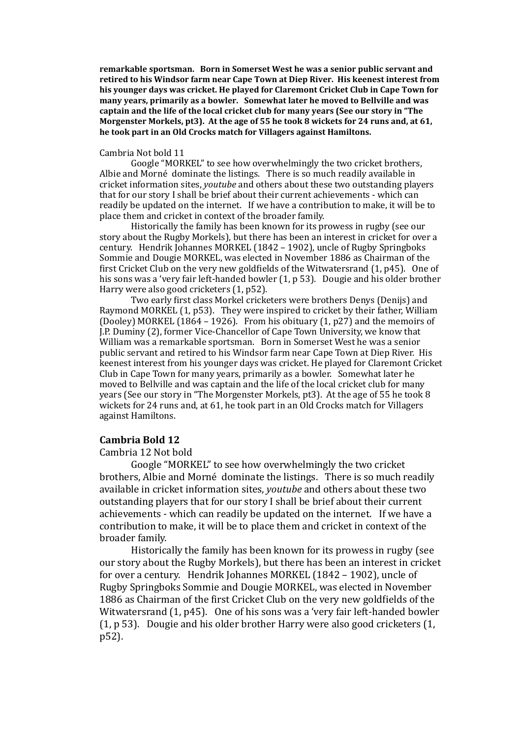**remarkable sportsman.** Born in Somerset West he was a senior public servant and retired to his Windsor farm near Cape Town at Diep River. His keenest interest from his younger days was cricket. He played for Claremont Cricket Club in Cape Town for many years, primarily as a bowler. Somewhat later he moved to Bellville and was captain and the life of the local cricket club for many years (See our story in "The **Morgenster Morkels, pt3). At the age of 55 he took 8 wickets for 24 runs and, at 61.** he took part in an Old Crocks match for Villagers against Hamiltons.

#### Cambria Not bold 11

Google "MORKEL" to see how overwhelmingly the two cricket brothers, Albie and Morné dominate the listings. There is so much readily available in cricket information sites, *youtube* and others about these two outstanding players that for our story I shall be brief about their current achievements - which can readily be updated on the internet. If we have a contribution to make, it will be to place them and cricket in context of the broader family.

Historically the family has been known for its prowess in rugby (see our story about the Rugby Morkels), but there has been an interest in cricket for over a century. Hendrik Johannes MORKEL (1842 – 1902), uncle of Rugby Springboks Sommie and Dougie MORKEL, was elected in November 1886 as Chairman of the first Cricket Club on the very new goldfields of the Witwatersrand  $(1, p45)$ . One of his sons was a 'very fair left-handed bowler  $(1, p 53)$ . Dougie and his older brother Harry were also good cricketers  $(1, p52)$ .

Two early first class Morkel cricketers were brothers Denys (Denijs) and Raymond MORKEL (1, p53). They were inspired to cricket by their father, William (Dooley) MORKEL (1864 – 1926). From his obituary (1, p27) and the memoirs of J.P. Duminy (2), former Vice-Chancellor of Cape Town University, we know that William was a remarkable sportsman. Born in Somerset West he was a senior public servant and retired to his Windsor farm near Cape Town at Diep River. His keenest interest from his younger days was cricket. He played for Claremont Cricket Club in Cape Town for many years, primarily as a bowler. Somewhat later he moved to Bellville and was captain and the life of the local cricket club for many years (See our story in "The Morgenster Morkels, pt3). At the age of 55 he took 8 wickets for 24 runs and, at 61, he took part in an Old Crocks match for Villagers against Hamiltons.

#### **Cambria Bold 12**

#### Cambria 12 Not bold

Google "MORKEL" to see how overwhelmingly the two cricket brothers, Albie and Morné dominate the listings. There is so much readily available in cricket information sites, *youtube* and others about these two outstanding players that for our story I shall be brief about their current achievements - which can readily be updated on the internet. If we have a contribution to make, it will be to place them and cricket in context of the broader family.

Historically the family has been known for its prowess in rugby (see our story about the Rugby Morkels), but there has been an interest in cricket for over a century. Hendrik Johannes MORKEL (1842 – 1902), uncle of Rugby Springboks Sommie and Dougie MORKEL, was elected in November 1886 as Chairman of the first Cricket Club on the very new goldfields of the Witwatersrand (1, p45). One of his sons was a 'very fair left-handed bowler  $(1, p 53)$ . Dougie and his older brother Harry were also good cricketers  $(1, p 53)$ . p52).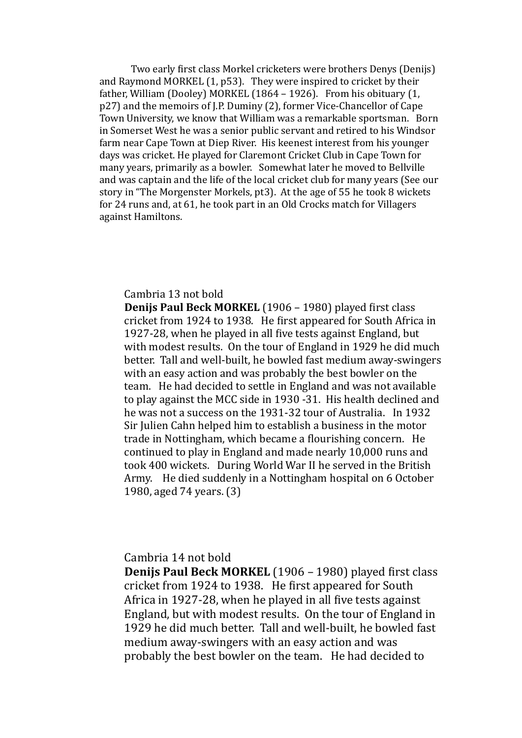Two early first class Morkel cricketers were brothers Denys (Denijs) and Raymond MORKEL  $(1, p53)$ . They were inspired to cricket by their father, William (Dooley) MORKEL (1864 – 1926). From his obituary  $(1, 1)$ p27) and the memoirs of J.P. Duminy (2), former Vice-Chancellor of Cape Town University, we know that William was a remarkable sportsman. Born in Somerset West he was a senior public servant and retired to his Windsor farm near Cape Town at Diep River. His keenest interest from his younger days was cricket. He played for Claremont Cricket Club in Cape Town for many years, primarily as a bowler. Somewhat later he moved to Bellville and was captain and the life of the local cricket club for many vears (See our story in "The Morgenster Morkels, pt3). At the age of 55 he took 8 wickets for 24 runs and, at 61, he took part in an Old Crocks match for Villagers against Hamiltons.

### Cambria 13 not bold

**Denijs Paul Beck MORKEL** (1906 – 1980) played first class cricket from 1924 to 1938. He first appeared for South Africa in 1927-28, when he played in all five tests against England, but with modest results. On the tour of England in 1929 he did much better. Tall and well-built, he bowled fast medium away-swingers with an easy action and was probably the best bowler on the team. He had decided to settle in England and was not available to play against the MCC side in 1930 -31. His health declined and he was not a success on the 1931-32 tour of Australia. In 1932 Sir Julien Cahn helped him to establish a business in the motor trade in Nottingham, which became a flourishing concern. He continued to play in England and made nearly 10,000 runs and took 400 wickets. During World War II he served in the British Army. He died suddenly in a Nottingham hospital on 6 October 1980, aged 74 years. (3)

## Cambria 14 not bold

**Denijs Paul Beck MORKEL** (1906 – 1980) played first class cricket from 1924 to 1938. He first appeared for South Africa in  $1927-28$ , when he played in all five tests against England, but with modest results. On the tour of England in 1929 he did much better. Tall and well-built, he bowled fast medium away-swingers with an easy action and was probably the best bowler on the team. He had decided to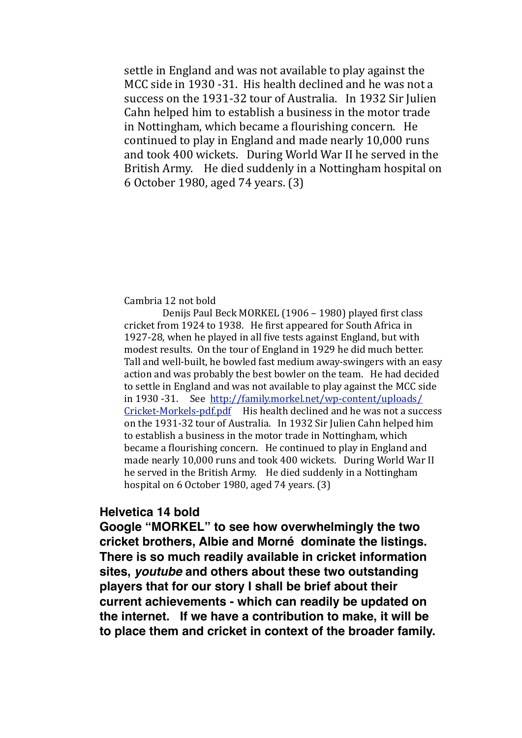settle in England and was not available to play against the MCC side in 1930 -31. His health declined and he was not a success on the 1931-32 tour of Australia. In 1932 Sir Julien Cahn helped him to establish a business in the motor trade in Nottingham, which became a flourishing concern. He continued to play in England and made nearly 10,000 runs and took 400 wickets. During World War II he served in the British Army. He died suddenly in a Nottingham hospital on 6 October 1980, aged 74 years. (3)

### Cambria 12 not bold

Denijs Paul Beck MORKEL (1906 – 1980) played first class cricket from 1924 to 1938. He first appeared for South Africa in 1927-28, when he played in all five tests against England, but with modest results. On the tour of England in 1929 he did much better. Tall and well-built, he bowled fast medium away-swingers with an easy action and was probably the best bowler on the team. He had decided to settle in England and was not available to play against the MCC side in 1930 -31. See [http://family.morkel.net/wp-content/uploads/](http://family.morkel.net/wp-content/uploads/Cricket-Morkels-pdf.pdf)  $Cricket-Morkels-pdf.pdf$  His health declined and he was not a success on the 1931-32 tour of Australia. In 1932 Sir Julien Cahn helped him to establish a business in the motor trade in Nottingham, which became a flourishing concern. He continued to play in England and made nearly 10,000 runs and took 400 wickets. During World War II he served in the British Army. He died suddenly in a Nottingham hospital on  $6$  October 1980, aged  $74$  years.  $(3)$ 

### **Helvetica 14 bold**

**Google "MORKEL" to see how overwhelmingly the two cricket brothers, Albie and Morné dominate the listings. There is so much readily available in cricket information sites,** *youtube* **and others about these two outstanding players that for our story I shall be brief about their current achievements - which can readily be updated on the internet. If we have a contribution to make, it will be to place them and cricket in context of the broader family.**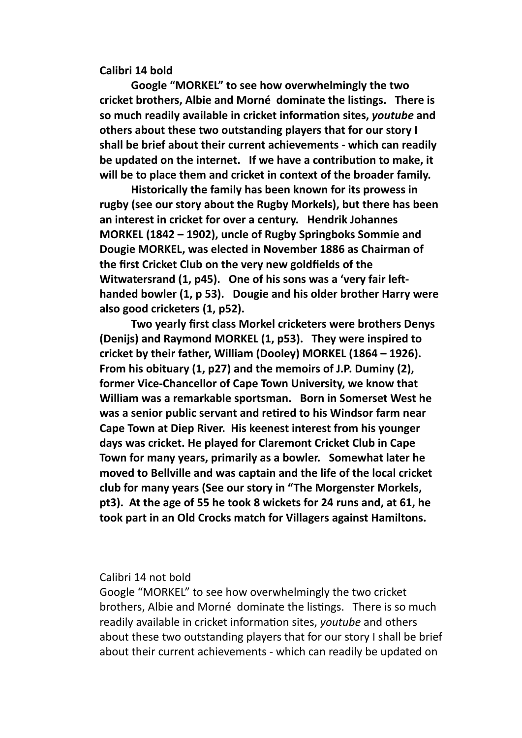**Calibri 14 bold**

**Google "MORKEL"** to see how overwhelmingly the two cricket brothers, Albie and Morné dominate the listings. There is **so much readily available in cricket information sites,** *youtube* **and** others about these two outstanding players that for our story I shall be brief about their current achievements - which can readily be updated on the internet. If we have a contribution to make, it will be to place them and cricket in context of the broader family.

**Historically the family has been known for its prowess in** rugby (see our story about the Rugby Morkels), but there has been an interest in cricket for over a century. Hendrik Johannes **MORKEL (1842 – 1902), uncle of Rugby Springboks Sommie and** Dougie MORKEL, was elected in November 1886 as Chairman of the first Cricket Club on the very new goldfields of the Witwatersrand (1, p45). One of his sons was a 'very fair lefthanded bowler (1, p 53). Dougie and his older brother Harry were also good cricketers (1, p52).

**Two yearly first class Morkel cricketers were brothers Denys (Denijs) and Raymond MORKEL (1, p53). They were inspired to** cricket by their father, William (Dooley) MORKEL (1864 - 1926). From his obituary (1, p27) and the memoirs of J.P. Duminy (2), former Vice-Chancellor of Cape Town University, we know that William was a remarkable sportsman. Born in Somerset West he was a senior public servant and retired to his Windsor farm near **Cape Town at Diep River. His keenest interest from his younger** days was cricket. He played for Claremont Cricket Club in Cape Town for many years, primarily as a bowler. Somewhat later he moved to Bellville and was captain and the life of the local cricket club for many years (See our story in "The Morgenster Morkels, pt3). At the age of 55 he took 8 wickets for 24 runs and, at 61, he took part in an Old Crocks match for Villagers against Hamiltons.

Calibri 14 not bold

Google "MORKEL" to see how overwhelmingly the two cricket brothers, Albie and Morné dominate the listings. There is so much readily available in cricket information sites, *youtube* and others about these two outstanding players that for our story I shall be brief about their current achievements - which can readily be updated on